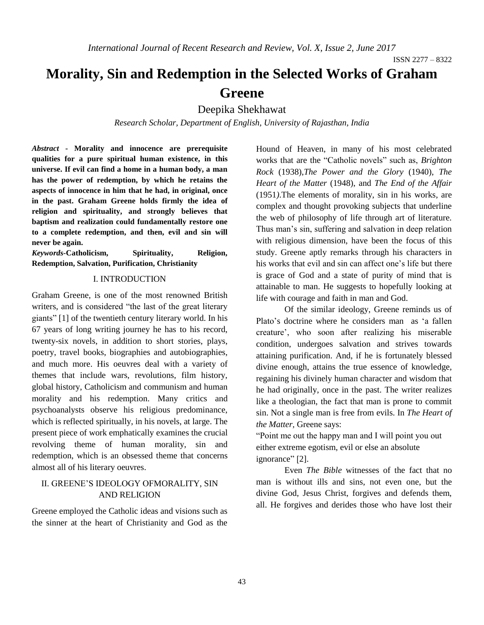# **Morality, Sin and Redemption in the Selected Works of Graham Greene**

Deepika Shekhawat

*Research Scholar, Department of English, University of Rajasthan, India*

*Abstract* **- Morality and innocence are prerequisite qualities for a pure spiritual human existence, in this universe. If evil can find a home in a human body, a man has the power of redemption, by which he retains the aspects of innocence in him that he had, in original, once in the past. Graham Greene holds firmly the idea of religion and spirituality, and strongly believes that baptism and realization could fundamentally restore one to a complete redemption, and then, evil and sin will never be again.** 

*Keywords-***Catholicism, Spirituality, Religion, Redemption, Salvation, Purification, Christianity**

### I. INTRODUCTION

Graham Greene, is one of the most renowned British writers, and is considered "the last of the great literary giants" [1] of the twentieth century literary world. In his 67 years of long writing journey he has to his record, twenty-six novels, in addition to short stories, plays, poetry, travel books, biographies and autobiographies, and much more. His oeuvres deal with a variety of themes that include wars, revolutions, film history, global history, Catholicism and communism and human morality and his redemption. Many critics and psychoanalysts observe his religious predominance, which is reflected spiritually, in his novels, at large. The present piece of work emphatically examines the crucial revolving theme of human morality, sin and redemption, which is an obsessed theme that concerns almost all of his literary oeuvres.

## II. GREENE'S IDEOLOGY OFMORALITY, SIN AND RELIGION

Greene employed the Catholic ideas and visions such as the sinner at the heart of Christianity and God as the Hound of Heaven, in many of his most celebrated works that are the "Catholic novels" such as, *Brighton Rock* (1938),*The Power and the Glory* (1940), *The Heart of the Matter* (1948), and *The End of the Affair*  (1951*)*.The elements of morality, sin in his works, are complex and thought provoking subjects that underline the web of philosophy of life through art of literature. Thus man's sin, suffering and salvation in deep relation with religious dimension, have been the focus of this study. Greene aptly remarks through his characters in his works that evil and sin can affect one's life but there is grace of God and a state of purity of mind that is attainable to man. He suggests to hopefully looking at life with courage and faith in man and God.

Of the similar ideology, Greene reminds us of Plato's doctrine where he considers man as 'a fallen creature', who soon after realizing his miserable condition, undergoes salvation and strives towards attaining purification. And, if he is fortunately blessed divine enough, attains the true essence of knowledge, regaining his divinely human character and wisdom that he had originally, once in the past. The writer realizes like a theologian, the fact that man is prone to commit sin. Not a single man is free from evils. In *The Heart of the Matter,* Greene says:

"Point me out the happy man and I will point you out either extreme egotism, evil or else an absolute ignorance" [2].

Even *The Bible* witnesses of the fact that no man is without ills and sins, not even one, but the divine God, Jesus Christ, forgives and defends them, all. He forgives and derides those who have lost their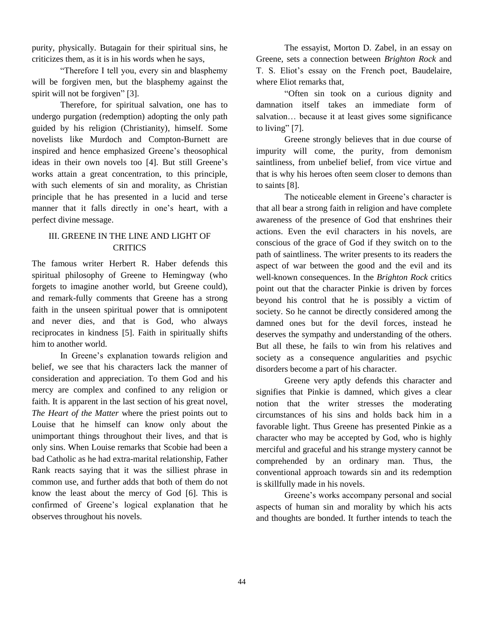purity, physically. Butagain for their spiritual sins, he criticizes them, as it is in his words when he says,

"Therefore I tell you, every sin and blasphemy will be forgiven men, but the blasphemy against the spirit will not be forgiven" [3].

Therefore, for spiritual salvation, one has to undergo purgation (redemption) adopting the only path guided by his religion (Christianity), himself. Some novelists like Murdoch and Compton-Burnett are inspired and hence emphasized Greene's theosophical ideas in their own novels too [4]. But still Greene's works attain a great concentration, to this principle, with such elements of sin and morality, as Christian principle that he has presented in a lucid and terse manner that it falls directly in one's heart, with a perfect divine message.

# III. GREENE IN THE LINE AND LIGHT OF **CRITICS**

The famous writer Herbert R. Haber defends this spiritual philosophy of Greene to Hemingway (who forgets to imagine another world, but Greene could), and remark-fully comments that Greene has a strong faith in the unseen spiritual power that is omnipotent and never dies, and that is God, who always reciprocates in kindness [5]. Faith in spiritually shifts him to another world.

In Greene's explanation towards religion and belief, we see that his characters lack the manner of consideration and appreciation. To them God and his mercy are complex and confined to any religion or faith. It is apparent in the last section of his great novel, *The Heart of the Matter* where the priest points out to Louise that he himself can know only about the unimportant things throughout their lives, and that is only sins. When Louise remarks that Scobie had been a bad Catholic as he had extra-marital relationship, Father Rank reacts saying that it was the silliest phrase in common use, and further adds that both of them do not know the least about the mercy of God [6]. This is confirmed of Greene's logical explanation that he observes throughout his novels.

The essayist, Morton D. Zabel, in an essay on Greene, sets a connection between *Brighton Rock* and T. S. Eliot's essay on the French poet, Baudelaire, where Eliot remarks that,

"Often sin took on a curious dignity and damnation itself takes an immediate form of salvation… because it at least gives some significance to living"  $[7]$ .

Greene strongly believes that in due course of impurity will come, the purity, from demonism saintliness, from unbelief belief, from vice virtue and that is why his heroes often seem closer to demons than to saints [8].

The noticeable element in Greene's character is that all bear a strong faith in religion and have complete awareness of the presence of God that enshrines their actions. Even the evil characters in his novels, are conscious of the grace of God if they switch on to the path of saintliness. The writer presents to its readers the aspect of war between the good and the evil and its well-known consequences. In the *Brighton Rock* critics point out that the character Pinkie is driven by forces beyond his control that he is possibly a victim of society. So he cannot be directly considered among the damned ones but for the devil forces, instead he deserves the sympathy and understanding of the others. But all these, he fails to win from his relatives and society as a consequence angularities and psychic disorders become a part of his character.

Greene very aptly defends this character and signifies that Pinkie is damned, which gives a clear notion that the writer stresses the moderating circumstances of his sins and holds back him in a favorable light. Thus Greene has presented Pinkie as a character who may be accepted by God, who is highly merciful and graceful and his strange mystery cannot be comprehended by an ordinary man. Thus, the conventional approach towards sin and its redemption is skillfully made in his novels.

Greene's works accompany personal and social aspects of human sin and morality by which his acts and thoughts are bonded. It further intends to teach the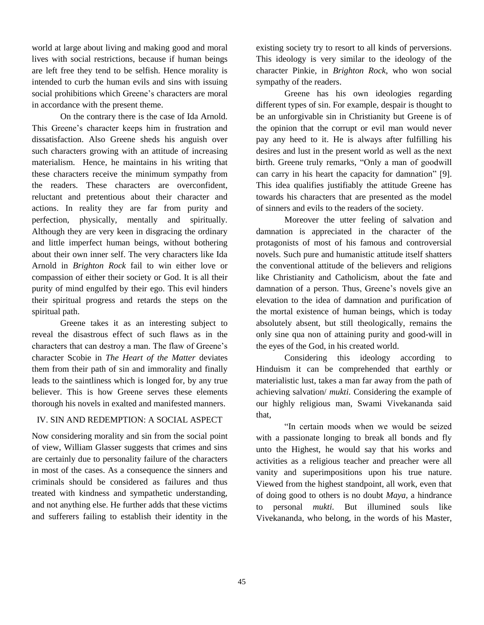world at large about living and making good and moral lives with social restrictions, because if human beings are left free they tend to be selfish. Hence morality is intended to curb the human evils and sins with issuing social prohibitions which Greene's characters are moral in accordance with the present theme.

On the contrary there is the case of Ida Arnold. This Greene's character keeps him in frustration and dissatisfaction. Also Greene sheds his anguish over such characters growing with an attitude of increasing materialism. Hence, he maintains in his writing that these characters receive the minimum sympathy from the readers. These characters are overconfident, reluctant and pretentious about their character and actions. In reality they are far from purity and perfection, physically, mentally and spiritually. Although they are very keen in disgracing the ordinary and little imperfect human beings, without bothering about their own inner self. The very characters like Ida Arnold in *Brighton Rock* fail to win either love or compassion of either their society or God. It is all their purity of mind engulfed by their ego. This evil hinders their spiritual progress and retards the steps on the spiritual path.

Greene takes it as an interesting subject to reveal the disastrous effect of such flaws as in the characters that can destroy a man. The flaw of Greene's character Scobie in *The Heart of the Matter* deviates them from their path of sin and immorality and finally leads to the saintliness which is longed for, by any true believer. This is how Greene serves these elements thorough his novels in exalted and manifested manners.

## IV. SIN AND REDEMPTION: A SOCIAL ASPECT

Now considering morality and sin from the social point of view, William Glasser suggests that crimes and sins are certainly due to personality failure of the characters in most of the cases. As a consequence the sinners and criminals should be considered as failures and thus treated with kindness and sympathetic understanding, and not anything else. He further adds that these victims and sufferers failing to establish their identity in the existing society try to resort to all kinds of perversions. This ideology is very similar to the ideology of the character Pinkie, in *Brighton Rock*, who won social sympathy of the readers.

Greene has his own ideologies regarding different types of sin. For example, despair is thought to be an unforgivable sin in Christianity but Greene is of the opinion that the corrupt or evil man would never pay any heed to it. He is always after fulfilling his desires and lust in the present world as well as the next birth. Greene truly remarks, "Only a man of goodwill can carry in his heart the capacity for damnation" [9]. This idea qualifies justifiably the attitude Greene has towards his characters that are presented as the model of sinners and evils to the readers of the society.

Moreover the utter feeling of salvation and damnation is appreciated in the character of the protagonists of most of his famous and controversial novels. Such pure and humanistic attitude itself shatters the conventional attitude of the believers and religions like Christianity and Catholicism, about the fate and damnation of a person. Thus, Greene's novels give an elevation to the idea of damnation and purification of the mortal existence of human beings, which is today absolutely absent, but still theologically, remains the only sine qua non of attaining purity and good-will in the eyes of the God, in his created world.

Considering this ideology according to Hinduism it can be comprehended that earthly or materialistic lust, takes a man far away from the path of achieving salvation/ *mukti.* Considering the example of our highly religious man, Swami Vivekananda said that,

"In certain moods when we would be seized with a passionate longing to break all bonds and fly unto the Highest, he would say that his works and activities as a religious teacher and preacher were all vanity and superimpositions upon his true nature. Viewed from the highest standpoint, all work, even that of doing good to others is no doubt *Maya,* a hindrance to personal *mukti.* But illumined souls like Vivekananda, who belong, in the words of his Master,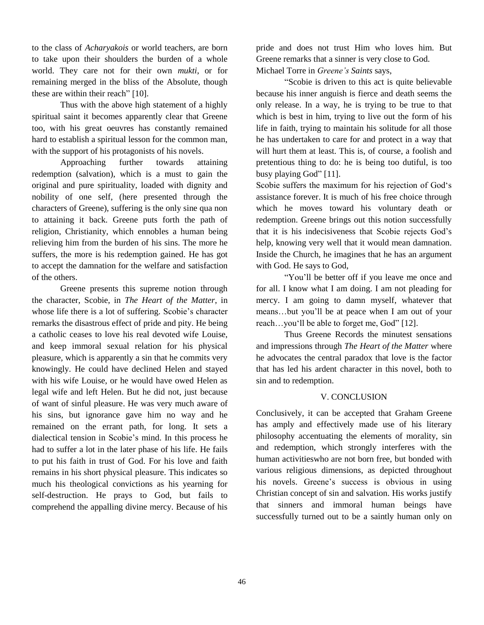to the class of *Acharyakois* or world teachers, are born to take upon their shoulders the burden of a whole world. They care not for their own *mukti*, or for remaining merged in the bliss of the Absolute, though these are within their reach" [10].

Thus with the above high statement of a highly spiritual saint it becomes apparently clear that Greene too, with his great oeuvres has constantly remained hard to establish a spiritual lesson for the common man, with the support of his protagonists of his novels.

Approaching further towards attaining redemption (salvation), which is a must to gain the original and pure spirituality, loaded with dignity and nobility of one self, (here presented through the characters of Greene), suffering is the only sine qua non to attaining it back. Greene puts forth the path of religion, Christianity, which ennobles a human being relieving him from the burden of his sins. The more he suffers, the more is his redemption gained. He has got to accept the damnation for the welfare and satisfaction of the others.

Greene presents this supreme notion through the character, Scobie, in *The Heart of the Matter*, in whose life there is a lot of suffering. Scobie's character remarks the disastrous effect of pride and pity. He being a catholic ceases to love his real devoted wife Louise, and keep immoral sexual relation for his physical pleasure, which is apparently a sin that he commits very knowingly. He could have declined Helen and stayed with his wife Louise, or he would have owed Helen as legal wife and left Helen. But he did not, just because of want of sinful pleasure. He was very much aware of his sins, but ignorance gave him no way and he remained on the errant path, for long. It sets a dialectical tension in Scobie's mind. In this process he had to suffer a lot in the later phase of his life. He fails to put his faith in trust of God. For his love and faith remains in his short physical pleasure. This indicates so much his theological convictions as his yearning for self-destruction. He prays to God, but fails to comprehend the appalling divine mercy. Because of his

pride and does not trust Him who loves him. But Greene remarks that a sinner is very close to God. Michael Torre in *Greene's Saints* says,

"Scobie is driven to this act is quite believable because his inner anguish is fierce and death seems the only release. In a way, he is trying to be true to that which is best in him, trying to live out the form of his life in faith, trying to maintain his solitude for all those he has undertaken to care for and protect in a way that will hurt them at least. This is, of course, a foolish and pretentious thing to do: he is being too dutiful, is too busy playing God" [11].

Scobie suffers the maximum for his rejection of God's assistance forever. It is much of his free choice through which he moves toward his voluntary death or redemption. Greene brings out this notion successfully that it is his indecisiveness that Scobie rejects God's help, knowing very well that it would mean damnation. Inside the Church, he imagines that he has an argument with God. He says to God,

"You'll be better off if you leave me once and for all. I know what I am doing. I am not pleading for mercy. I am going to damn myself, whatever that means…but you'll be at peace when I am out of your reach…you'll be able to forget me, God" [12].

Thus Greene Records the minutest sensations and impressions through *The Heart of the Matter* where he advocates the central paradox that love is the factor that has led his ardent character in this novel, both to sin and to redemption.

## V. CONCLUSION

Conclusively, it can be accepted that Graham Greene has amply and effectively made use of his literary philosophy accentuating the elements of morality, sin and redemption, which strongly interferes with the human activitieswho are not born free, but bonded with various religious dimensions, as depicted throughout his novels. Greene's success is obvious in using Christian concept of sin and salvation. His works justify that sinners and immoral human beings have successfully turned out to be a saintly human only on